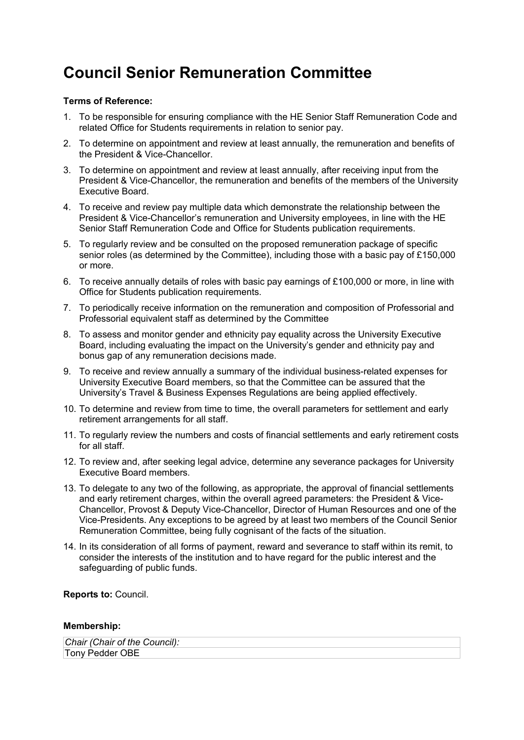## **Council Senior Remuneration Committee**

## **Terms of Reference:**

- 1. To be responsible for ensuring compliance with the HE Senior Staff Remuneration Code and related Office for Students requirements in relation to senior pay.
- 2. To determine on appointment and review at least annually, the remuneration and benefits of the President & Vice-Chancellor.
- 3. To determine on appointment and review at least annually, after receiving input from the President & Vice-Chancellor, the remuneration and benefits of the members of the University Executive Board.
- 4. To receive and review pay multiple data which demonstrate the relationship between the President & Vice-Chancellor's remuneration and University employees, in line with the HE Senior Staff Remuneration Code and Office for Students publication requirements.
- 5. To regularly review and be consulted on the proposed remuneration package of specific senior roles (as determined by the Committee), including those with a basic pay of £150,000 or more.
- 6. To receive annually details of roles with basic pay earnings of £100,000 or more, in line with Office for Students publication requirements.
- 7. To periodically receive information on the remuneration and composition of Professorial and Professorial equivalent staff as determined by the Committee
- 8. To assess and monitor gender and ethnicity pay equality across the University Executive Board, including evaluating the impact on the University's gender and ethnicity pay and bonus gap of any remuneration decisions made.
- 9. To receive and review annually a summary of the individual business-related expenses for University Executive Board members, so that the Committee can be assured that the University's Travel & Business Expenses Regulations are being applied effectively.
- 10. To determine and review from time to time, the overall parameters for settlement and early retirement arrangements for all staff.
- 11. To regularly review the numbers and costs of financial settlements and early retirement costs for all staff.
- 12. To review and, after seeking legal advice, determine any severance packages for University Executive Board members.
- 13. To delegate to any two of the following, as appropriate, the approval of financial settlements and early retirement charges, within the overall agreed parameters: the President & Vice-Chancellor, Provost & Deputy Vice-Chancellor, Director of Human Resources and one of the Vice-Presidents. Any exceptions to be agreed by at least two members of the Council Senior Remuneration Committee, being fully cognisant of the facts of the situation.
- 14. In its consideration of all forms of payment, reward and severance to staff within its remit, to consider the interests of the institution and to have regard for the public interest and the safeguarding of public funds.

**Reports to:** Council.

## **Membership:**

| Chair (Chair of the Council): |  |
|-------------------------------|--|
| Tony Pedder OBE               |  |